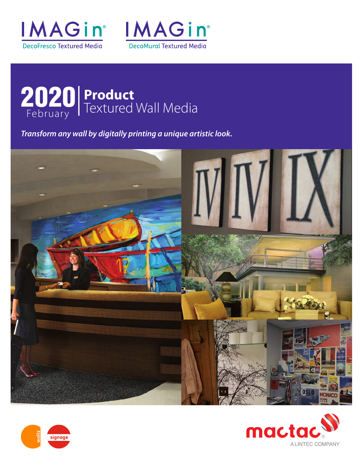





*Transform any wall by digitally printing a unique artistic look.*